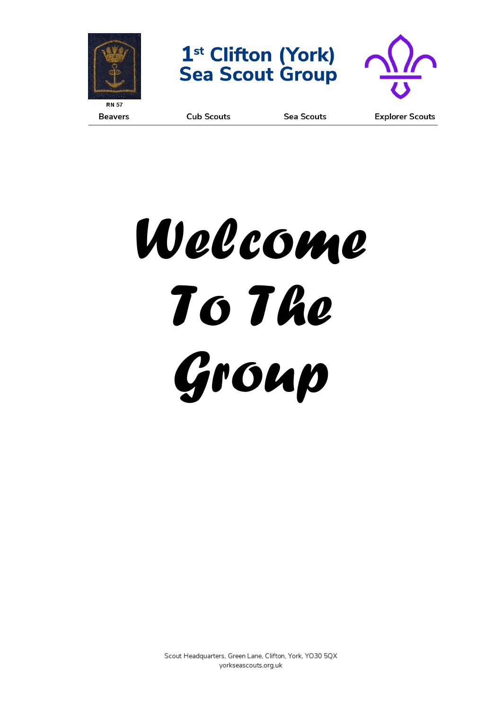





**Beavers** 

**Cub Scouts** 

**Sea Scouts** 

**Explorer Scouts** 



Scout Headquarters, Green Lane, Clifton, York, YO30 5QX yorkseascouts.org.uk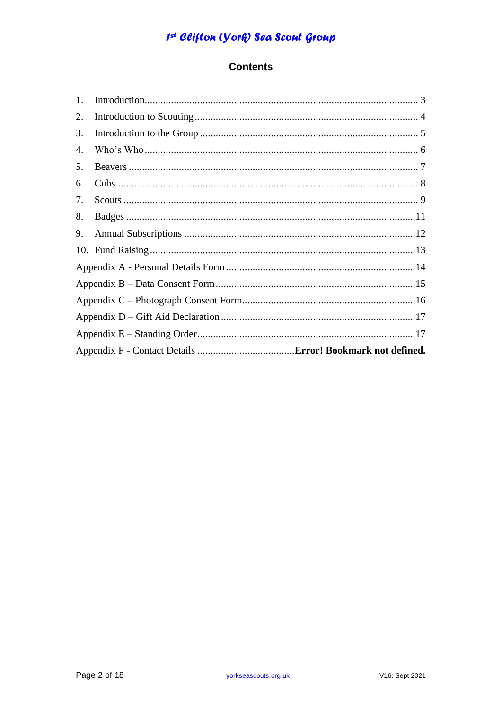### **Contents**

| 1. |  |
|----|--|
| 2. |  |
| 3. |  |
| 4. |  |
| 5. |  |
| 6. |  |
| 7. |  |
| 8. |  |
| 9. |  |
|    |  |
|    |  |
|    |  |
|    |  |
|    |  |
|    |  |
|    |  |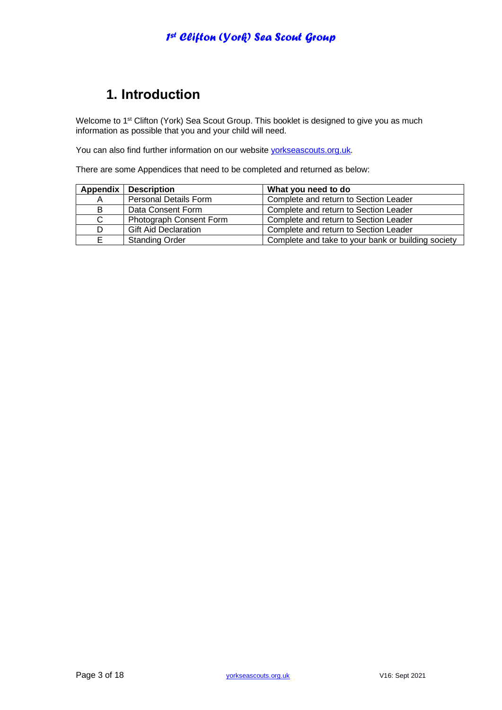# **1. Introduction**

Welcome to 1<sup>st</sup> Clifton (York) Sea Scout Group. This booklet is designed to give you as much information as possible that you and your child will need.

You can also find further information on our website [yorkseascouts.org.uk.](http://www.yorkseascouts.org.uk/)

There are some Appendices that need to be completed and returned as below:

| Appendix | <b>Description</b>           | What you need to do                                |
|----------|------------------------------|----------------------------------------------------|
| A        | <b>Personal Details Form</b> | Complete and return to Section Leader              |
| B        | Data Consent Form            | Complete and return to Section Leader              |
| C        | Photograph Consent Form      | Complete and return to Section Leader              |
| D        | <b>Gift Aid Declaration</b>  | Complete and return to Section Leader              |
| Е        | <b>Standing Order</b>        | Complete and take to your bank or building society |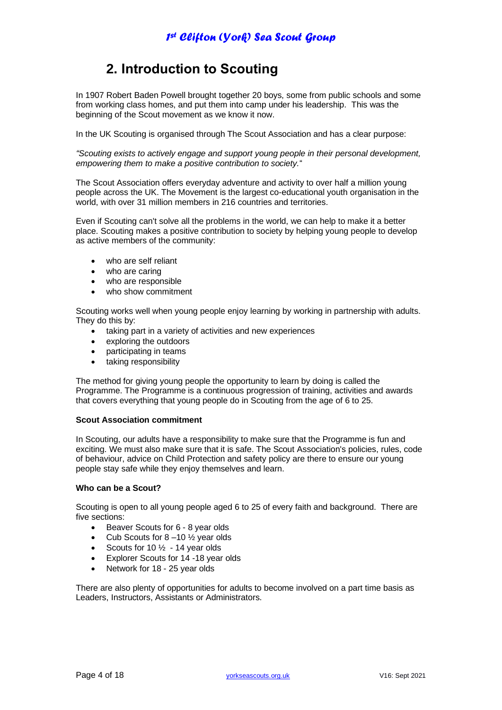# **2. Introduction to Scouting**

In 1907 Robert Baden Powell brought together 20 boys, some from public schools and some from working class homes, and put them into camp under his leadership. This was the beginning of the Scout movement as we know it now.

In the UK Scouting is organised through The Scout Association and has a clear purpose:

*"Scouting exists to actively engage and support young people in their personal development, empowering them to make a positive contribution to society.*"

The Scout Association offers everyday adventure and activity to over half a million young people across the UK. The Movement is the largest co-educational youth organisation in the world, with over 31 million members in 216 countries and territories.

Even if Scouting can't solve all the problems in the world, we can help to make it a better place. Scouting makes a positive contribution to society by helping young people to develop as active members of the community:

- who are self reliant
- who are caring
- who are responsible
- who show commitment

Scouting works well when young people enjoy learning by working in partnership with adults. They do this by:

- taking part in a variety of activities and new experiences
- exploring the outdoors
- participating in teams
- taking responsibility

The method for giving young people the opportunity to learn by doing is called the Programme. The Programme is a continuous progression of training, activities and awards that covers everything that young people do in Scouting from the age of 6 to 25.

#### **Scout Association commitment**

In Scouting, our adults have a responsibility to make sure that the Programme is fun and exciting. We must also make sure that it is safe. The Scout Association's policies, rules, code of behaviour, advice on Child Protection and safety policy are there to ensure our young people stay safe while they enjoy themselves and learn.

#### **Who can be a Scout?**

Scouting is open to all young people aged 6 to 25 of every faith and background. There are five sections:

- [Beaver Scouts for 6 -](https://members.scouts.org.uk/cms.php?pageid=1817#Cub) 8 year olds
- Cub Scouts for  $8-10\frac{1}{2}$  year olds
- 
- Scouts for  $10\frac{1}{2}$  14 year olds<br>• Explorer Scouts for 14 18 year • [Explorer Scouts for 14 -18 year olds](https://members.scouts.org.uk/cms.php?pageid=1817#Network)
- [Network for 18 -](https://members.scouts.org.uk/cms.php?pageid=1817#Network) 25 year olds

There are also plenty of opportunities for adults to become involved on a part time basis as Leaders, Instructors, Assistants or Administrators.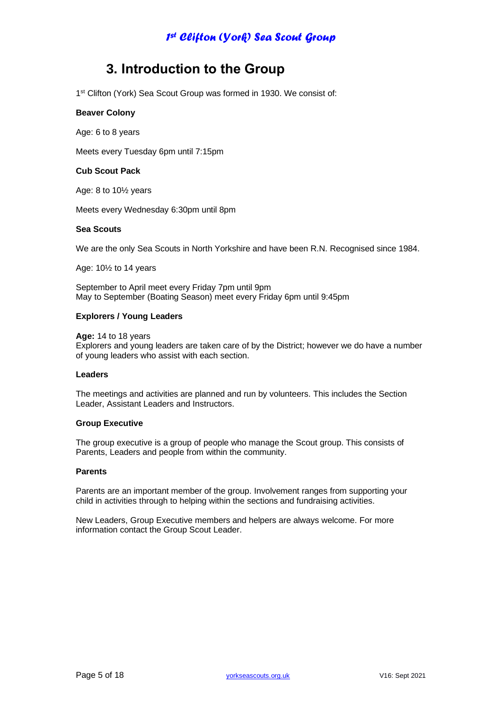## **3. Introduction to the Group**

1<sup>st</sup> Clifton (York) Sea Scout Group was formed in 1930. We consist of:

#### **Beaver Colony**

Age: 6 to 8 years

Meets every Tuesday 6pm until 7:15pm

#### **Cub Scout Pack**

Age: 8 to 10½ years

Meets every Wednesday 6:30pm until 8pm

#### **Sea Scouts**

We are the only Sea Scouts in North Yorkshire and have been R.N. Recognised since 1984.

Age: 10½ to 14 years

September to April meet every Friday 7pm until 9pm May to September (Boating Season) meet every Friday 6pm until 9:45pm

#### **Explorers / Young Leaders**

**Age:** 14 to 18 years

Explorers and young leaders are taken care of by the District; however we do have a number of young leaders who assist with each section.

#### **Leaders**

The meetings and activities are planned and run by volunteers. This includes the Section Leader, Assistant Leaders and Instructors.

#### **Group Executive**

The group executive is a group of people who manage the Scout group. This consists of Parents, Leaders and people from within the community.

#### **Parents**

Parents are an important member of the group. Involvement ranges from supporting your child in activities through to helping within the sections and fundraising activities.

New Leaders, Group Executive members and helpers are always welcome. For more information contact the Group Scout Leader.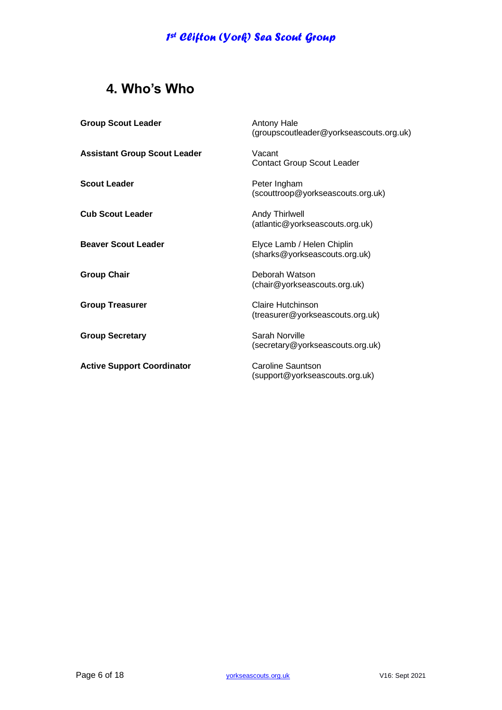# **4. Who's Who**

| <b>Group Scout Leader</b>           | <b>Antony Hale</b><br>(groupscoutleader@yorkseascouts.org.uk) |
|-------------------------------------|---------------------------------------------------------------|
| <b>Assistant Group Scout Leader</b> | Vacant<br><b>Contact Group Scout Leader</b>                   |
| <b>Scout Leader</b>                 | Peter Ingham<br>(scouttroop@yorkseascouts.org.uk)             |
| <b>Cub Scout Leader</b>             | <b>Andy Thirlwell</b><br>(atlantic@yorkseascouts.org.uk)      |
| <b>Beaver Scout Leader</b>          | Elyce Lamb / Helen Chiplin<br>(sharks@yorkseascouts.org.uk)   |
| <b>Group Chair</b>                  | Deborah Watson<br>(chair@yorkseascouts.org.uk)                |
| <b>Group Treasurer</b>              | Claire Hutchinson<br>(treasurer@yorkseascouts.org.uk)         |
| <b>Group Secretary</b>              | Sarah Norville<br>(secretary@yorkseascouts.org.uk)            |
| <b>Active Support Coordinator</b>   | Caroline Sauntson<br>(support@yorkseascouts.org.uk)           |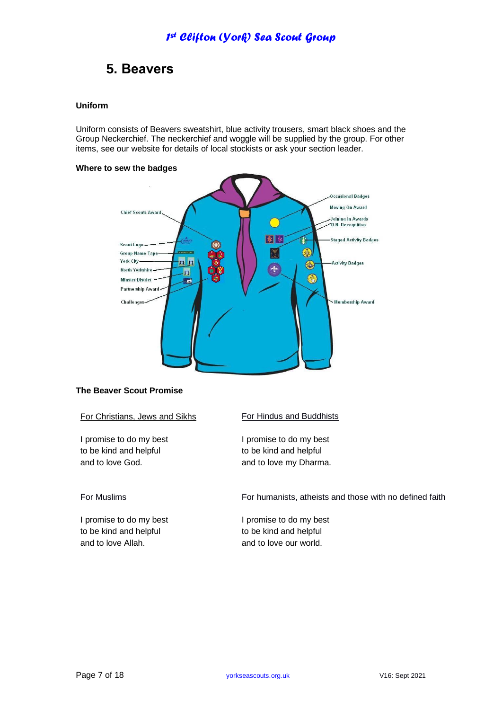# **5. Beavers**

### **Uniform**

Uniform consists of Beavers sweatshirt, blue activity trousers, smart black shoes and the Group Neckerchief. The neckerchief and woggle will be supplied by the group. For other items, see our website for details of local stockists or ask your section leader.

#### **Where to sew the badges**



#### **The Beaver Scout Promise**

For Christians, Jews and Sikhs

I promise to do my best to be kind and helpful and to love God.

### For Muslims

I promise to do my best to be kind and helpful and to love Allah.

For Hindus and Buddhists

I promise to do my best to be kind and helpful and to love my Dharma.

For humanists, atheists and those with no defined faith

I promise to do my best to be kind and helpful and to love our world.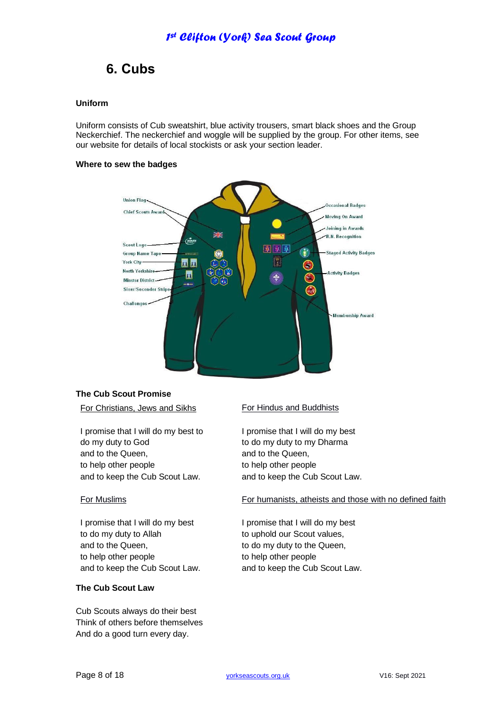## **6. Cubs**

### **Uniform**

Uniform consists of Cub sweatshirt, blue activity trousers, smart black shoes and the Group Neckerchief. The neckerchief and woggle will be supplied by the group. For other items, see our website for details of local stockists or ask your section leader.

#### **Where to sew the badges**



### **The Cub Scout Promise**

#### For Christians, Jews and Sikhs

I promise that I will do my best to do my duty to God and to the Queen, to help other people and to keep the Cub Scout Law.

#### For Muslims

I promise that I will do my best to do my duty to Allah and to the Queen, to help other people and to keep the Cub Scout Law.

#### **The Cub Scout Law**

Cub Scouts always do their best Think of others before themselves And do a good turn every day.

#### For Hindus and Buddhists

I promise that I will do my best to do my duty to my Dharma and to the Queen, to help other people and to keep the Cub Scout Law.

#### For humanists, atheists and those with no defined faith

I promise that I will do my best to uphold our Scout values, to do my duty to the Queen, to help other people and to keep the Cub Scout Law.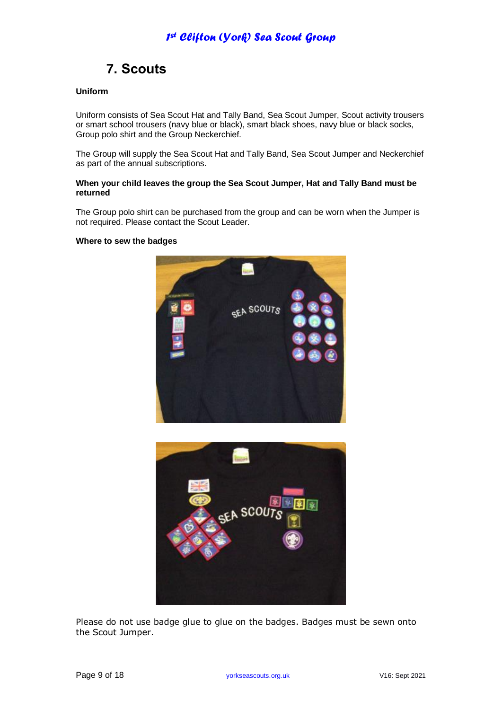# **7. Scouts**

### **Uniform**

Uniform consists of Sea Scout Hat and Tally Band, Sea Scout Jumper, Scout activity trousers or smart school trousers (navy blue or black), smart black shoes, navy blue or black socks, Group polo shirt and the Group Neckerchief.

The Group will supply the Sea Scout Hat and Tally Band, Sea Scout Jumper and Neckerchief as part of the annual subscriptions.

#### **When your child leaves the group the Sea Scout Jumper, Hat and Tally Band must be returned**

The Group polo shirt can be purchased from the group and can be worn when the Jumper is not required. Please contact the Scout Leader.

#### **Where to sew the badges**





Please do not use badge glue to glue on the badges. Badges must be sewn onto the Scout Jumper.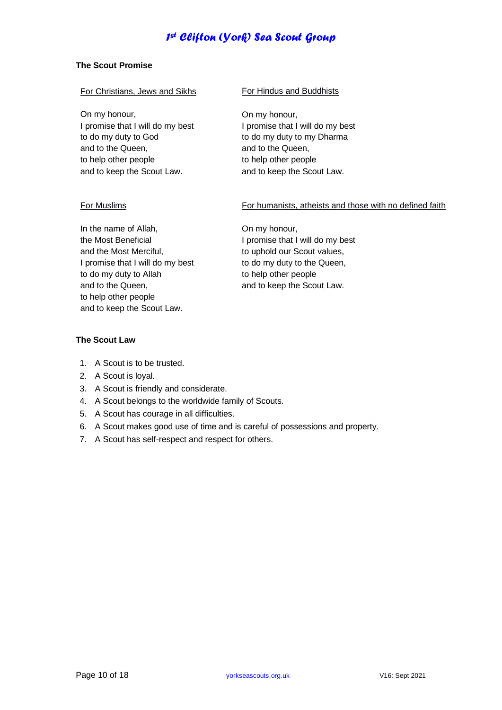### **The Scout Promise**

| For Christians, Jews and Sikhs |
|--------------------------------|
|--------------------------------|

On my honour, I promise that I will do my best to do my duty to God and to the Queen, to help other people and to keep the Scout Law.

#### For Hindus and Buddhists

On my honour, I promise that I will do my best to do my duty to my Dharma and to the Queen, to help other people and to keep the Scout Law.

#### For Muslims

#### For humanists, atheists and those with no defined faith

In the name of Allah, the Most Beneficial and the Most Merciful, I promise that I will do my best to do my duty to Allah and to the Queen, to help other people and to keep the Scout Law.

On my honour, I promise that I will do my best to uphold our Scout values, to do my duty to the Queen, to help other people and to keep the Scout Law.

### **The Scout Law**

- 1. A Scout is to be trusted.
- 2. A Scout is loyal.
- 3. A Scout is friendly and considerate.
- 4. A Scout belongs to the worldwide family of Scouts.
- 5. A Scout has courage in all difficulties.
- 6. A Scout makes good use of time and is careful of possessions and property.
- 7. A Scout has self-respect and respect for others.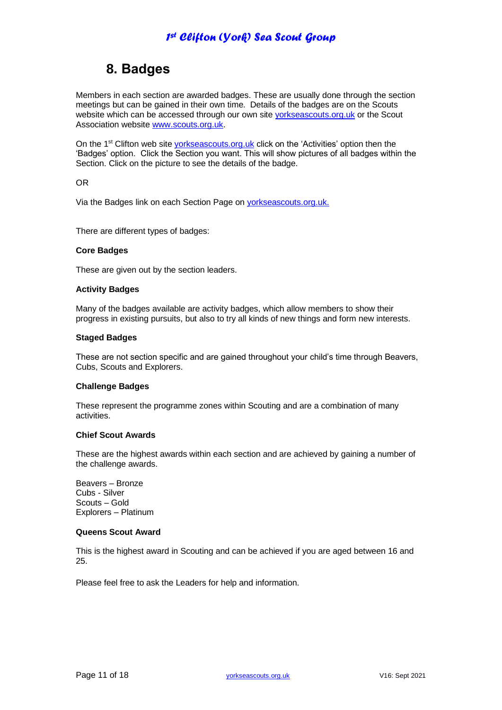# **8. Badges**

Members in each section are awarded badges. These are usually done through the section meetings but can be gained in their own time. Details of the badges are on the Scouts website which can be accessed through our own site [yorkseascouts.org.uk](http://yorkseascouts.org.uk/) or the Scout Association website [www.scouts.org.uk.](http://www.scouts.org.uk/)

On the 1<sup>st</sup> Clifton web site [yorkseascouts.org.uk](http://www.yorkseascouts.org.uk/) click on the 'Activities' option then the 'Badges' option. Click the Section you want. This will show pictures of all badges within the Section. Click on the picture to see the details of the badge.

#### OR

Via the Badges link on each Section Page on [yorkseascouts.org.uk.](http://www.yorkseascouts.org.uk/)

There are different types of badges:

#### **Core Badges**

These are given out by the section leaders.

#### **Activity Badges**

Many of the badges available are activity badges, which allow members to show their progress in existing pursuits, but also to try all kinds of new things and form new interests.

#### **Staged Badges**

These are not section specific and are gained throughout your child's time through Beavers, Cubs, Scouts and Explorers.

#### **Challenge Badges**

These represent the programme zones within Scouting and are a combination of many activities.

#### **Chief Scout Awards**

These are the highest awards within each section and are achieved by gaining a number of the challenge awards.

Beavers – Bronze Cubs - Silver Scouts – Gold Explorers – Platinum

#### **Queens Scout Award**

This is the highest award in Scouting and can be achieved if you are aged between 16 and 25.

Please feel free to ask the Leaders for help and information.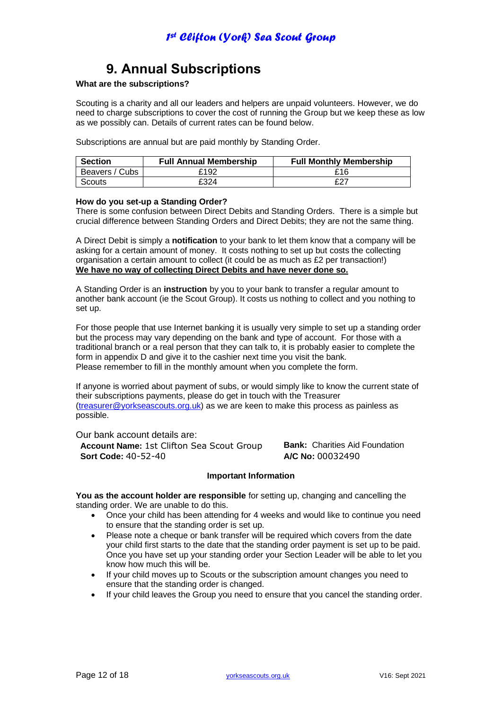# **9. Annual Subscriptions**

### **What are the subscriptions?**

Scouting is a charity and all our leaders and helpers are unpaid volunteers. However, we do need to charge subscriptions to cover the cost of running the Group but we keep these as low as we possibly can. Details of current rates can be found below.

Subscriptions are annual but are paid monthly by Standing Order.

| <b>Section</b> | <b>Full Annual Membership</b> | <b>Full Monthly Membership</b> |
|----------------|-------------------------------|--------------------------------|
| Beavers / Cubs | £192                          | £16                            |
| Scouts         | £324                          | f27                            |

#### **How do you set-up a Standing Order?**

There is some confusion between Direct Debits and Standing Orders. There is a simple but crucial difference between Standing Orders and Direct Debits; they are not the same thing.

A Direct Debit is simply a **notification** to your bank to let them know that a company will be asking for a certain amount of money. It costs nothing to set up but costs the collecting organisation a certain amount to collect (it could be as much as £2 per transaction!) **We have no way of collecting Direct Debits and have never done so.**

A Standing Order is an **instruction** by you to your bank to transfer a regular amount to another bank account (ie the Scout Group). It costs us nothing to collect and you nothing to set up.

For those people that use Internet banking it is usually very simple to set up a standing order but the process may vary depending on the bank and type of account. For those with a traditional branch or a real person that they can talk to, it is probably easier to complete the form in appendix D and give it to the cashier next time you visit the bank. Please remember to fill in the monthly amount when you complete the form.

If anyone is worried about payment of subs, or would simply like to know the current state of their subscriptions payments, please do get in touch with the Treasurer [\(treasurer@yorkseascouts.org.uk\)](mailto:treasurer@yorkseascouts.org.uk) as we are keen to make this process as painless as possible.

Our bank account details are: **Account Name:** 1st Clifton Sea Scout Group **Bank:** Charities Aid Foundation **Sort Code:** 40-52-40 **A/C No:** 00032490

#### **Important Information**

**You as the account holder are responsible** for setting up, changing and cancelling the standing order. We are unable to do this.

- Once your child has been attending for 4 weeks and would like to continue you need to ensure that the standing order is set up.
- Please note a cheque or bank transfer will be required which covers from the date your child first starts to the date that the standing order payment is set up to be paid. Once you have set up your standing order your Section Leader will be able to let you know how much this will be.
- If your child moves up to Scouts or the subscription amount changes you need to ensure that the standing order is changed.
- If your child leaves the Group you need to ensure that you cancel the standing order.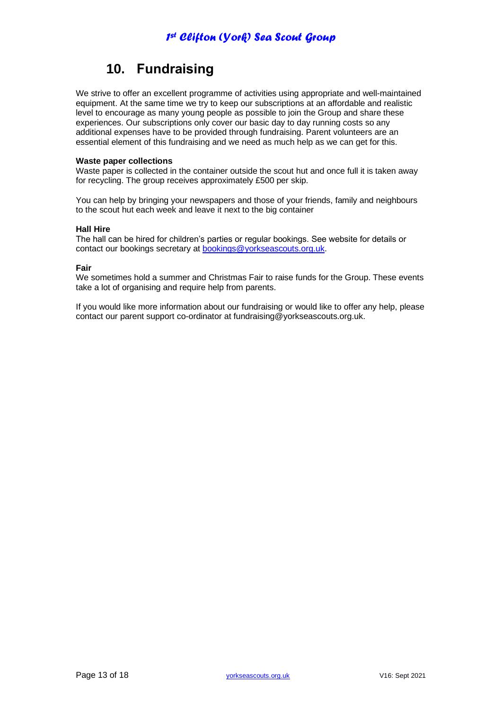# **10. Fundraising**

We strive to offer an excellent programme of activities using appropriate and well-maintained equipment. At the same time we try to keep our subscriptions at an affordable and realistic level to encourage as many young people as possible to join the Group and share these experiences. Our subscriptions only cover our basic day to day running costs so any additional expenses have to be provided through fundraising. Parent volunteers are an essential element of this fundraising and we need as much help as we can get for this.

#### **Waste paper collections**

Waste paper is collected in the container outside the scout hut and once full it is taken away for recycling. The group receives approximately £500 per skip.

You can help by bringing your newspapers and those of your friends, family and neighbours to the scout hut each week and leave it next to the big container

#### **Hall Hire**

The hall can be hired for children's parties or regular bookings. See website for details or contact our bookings secretary at [bookings@yorkseascouts.org.uk.](mailto:bookings@yorkseascouts.org.uk)

#### **Fair**

We sometimes hold a summer and Christmas Fair to raise funds for the Group. These events take a lot of organising and require help from parents.

If you would like more information about our fundraising or would like to offer any help, please contact our parent support co-ordinator at fundraising@yorkseascouts.org.uk.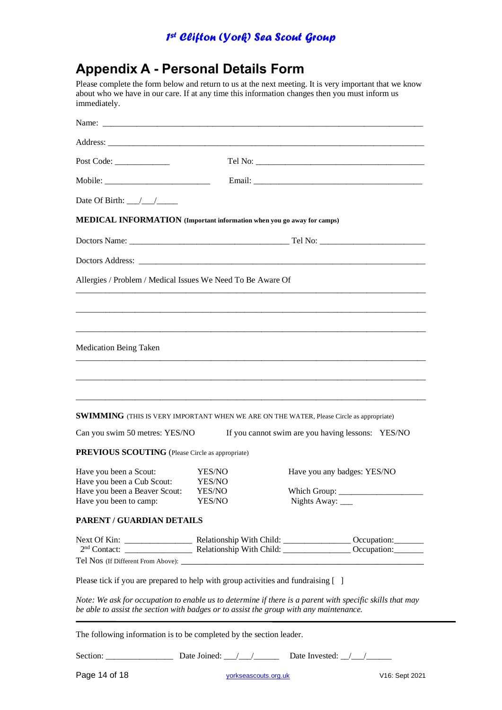# **Appendix A - Personal Details Form**

Please complete the form below and return to us at the next meeting. It is very important that we know about who we have in our care. If at any time this information changes then you must inform us immediately.

| Post Code:                                                                                                                        |                                      |                                                                                                          |
|-----------------------------------------------------------------------------------------------------------------------------------|--------------------------------------|----------------------------------------------------------------------------------------------------------|
|                                                                                                                                   |                                      |                                                                                                          |
| Date Of Birth: $\frac{\sqrt{1-\frac{1}{2}}}{\sqrt{1-\frac{1}{2}}}}$                                                               |                                      |                                                                                                          |
| MEDICAL INFORMATION (Important information when you go away for camps)                                                            |                                      |                                                                                                          |
|                                                                                                                                   |                                      |                                                                                                          |
|                                                                                                                                   |                                      |                                                                                                          |
| Allergies / Problem / Medical Issues We Need To Be Aware Of                                                                       |                                      |                                                                                                          |
| Medication Being Taken                                                                                                            |                                      |                                                                                                          |
| <b>SWIMMING</b> (THIS IS VERY IMPORTANT WHEN WE ARE ON THE WATER, Please Circle as appropriate)<br>Can you swim 50 metres: YES/NO |                                      | If you cannot swim are you having lessons: YES/NO                                                        |
| <b>PREVIOUS SCOUTING</b> (Please Circle as appropriate)                                                                           |                                      |                                                                                                          |
| Have you been a Scout:<br>Have you been a Cub Scout:<br>Have you been a Beaver Scout:<br>Have you been to camp:                   | YES/NO<br>YES/NO<br>YES/NO<br>YES/NO | Have you any badges: YES/NO<br>Which Group:<br>Nights Away: ____                                         |
| PARENT / GUARDIAN DETAILS                                                                                                         |                                      |                                                                                                          |
|                                                                                                                                   |                                      |                                                                                                          |
| Please tick if you are prepared to help with group activities and fundraising []                                                  |                                      |                                                                                                          |
| be able to assist the section with badges or to assist the group with any maintenance.                                            |                                      | Note: We ask for occupation to enable us to determine if there is a parent with specific skills that may |
| The following information is to be completed by the section leader.                                                               |                                      |                                                                                                          |

Section: \_\_\_\_\_\_\_\_\_\_\_\_\_\_\_\_ Date Joined: \_\_\_/\_\_\_/\_\_\_\_\_\_ Date Invested: \_\_/\_\_\_/\_\_\_\_\_\_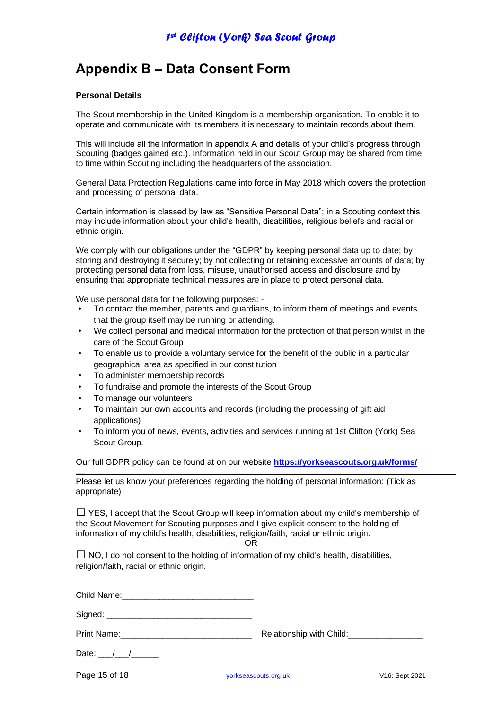## **Appendix B – Data Consent Form**

#### **Personal Details**

The Scout membership in the United Kingdom is a membership organisation. To enable it to operate and communicate with its members it is necessary to maintain records about them.

This will include all the information in appendix A and details of your child's progress through Scouting (badges gained etc.). Information held in our Scout Group may be shared from time to time within Scouting including the headquarters of the association.

General Data Protection Regulations came into force in May 2018 which covers the protection and processing of personal data.

Certain information is classed by law as "Sensitive Personal Data"; in a Scouting context this may include information about your child's health, disabilities, religious beliefs and racial or ethnic origin.

We comply with our obligations under the "GDPR" by keeping personal data up to date; by storing and destroying it securely; by not collecting or retaining excessive amounts of data; by protecting personal data from loss, misuse, unauthorised access and disclosure and by ensuring that appropriate technical measures are in place to protect personal data.

We use personal data for the following purposes: -

- To contact the member, parents and guardians, to inform them of meetings and events that the group itself may be running or attending.
- We collect personal and medical information for the protection of that person whilst in the care of the Scout Group
- To enable us to provide a voluntary service for the benefit of the public in a particular geographical area as specified in our constitution
- To administer membership records
- To fundraise and promote the interests of the Scout Group
- To manage our volunteers
- To maintain our own accounts and records (including the processing of gift aid applications)
- To inform you of news, events, activities and services running at 1st Clifton (York) Sea Scout Group.

Our full GDPR policy can be found at on our website **<https://yorkseascouts.org.uk/forms/>**

Please let us know your preferences regarding the holding of personal information: (Tick as appropriate)

 $\Box$  YES, I accept that the Scout Group will keep information about my child's membership of the Scout Movement for Scouting purposes and I give explicit consent to the holding of information of my child's health, disabilities, religion/faith, racial or ethnic origin.

OR

 $\Box$  NO, I do not consent to the holding of information of my child's health, disabilities, religion/faith, racial or ethnic origin.

Child Name:

Signed:

Print Name: etc. All and the Relationship with Child:

Date:  $/$  /

Page 15 of 18 [yorkseascouts.org.uk](http://www.yorkseascouts.org.uk/) V16: Sept 2021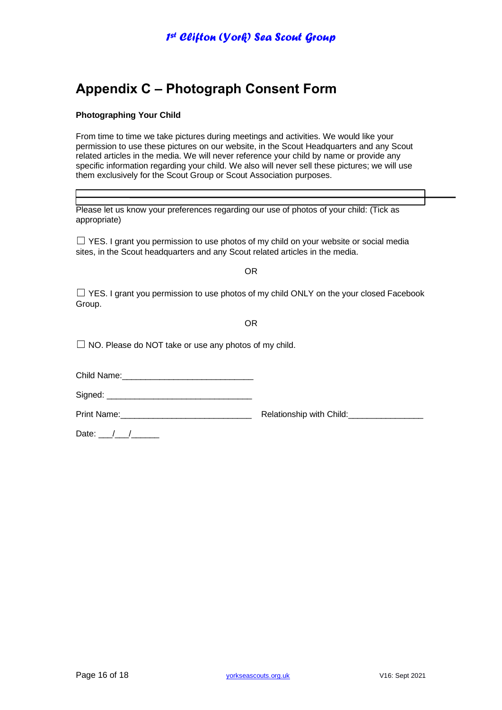# **Appendix C – Photograph Consent Form**

### **Photographing Your Child**

From time to time we take pictures during meetings and activities. We would like your permission to use these pictures on our website, in the Scout Headquarters and any Scout related articles in the media. We will never reference your child by name or provide any specific information regarding your child. We also will never sell these pictures; we will use them exclusively for the Scout Group or Scout Association purposes.

Please let us know your preferences regarding our use of photos of your child: (Tick as appropriate)

 $\Box$  YES. I grant you permission to use photos of my child on your website or social media sites, in the Scout headquarters and any Scout related articles in the media.

OR

 $\Box$  YES. I grant you permission to use photos of my child ONLY on the your closed Facebook Group.

OR

 $\Box$  NO. Please do NOT take or use any photos of my child.

Child Name:

Signed: \_\_\_\_\_\_\_\_\_\_\_\_\_\_\_\_\_\_\_\_\_\_\_\_\_\_\_\_\_\_\_

Print Name: example and the Relationship with Child:

Date:  $\frac{1}{\sqrt{2}}$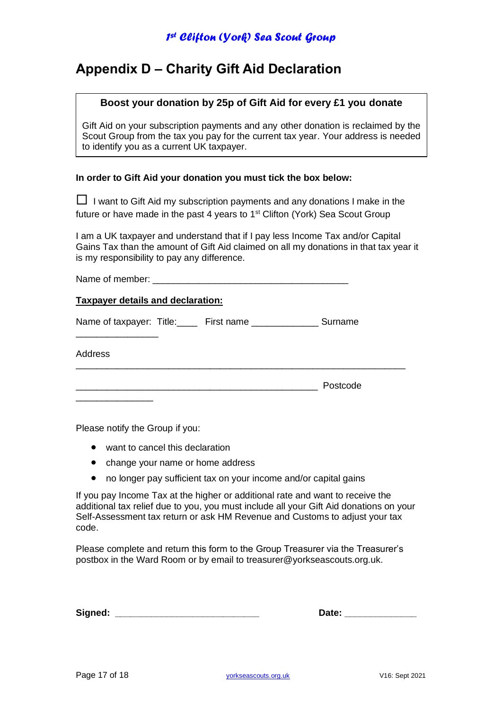## **Appendix D – Charity Gift Aid Declaration**

### **Boost your donation by 25p of Gift Aid for every £1 you donate**

Gift Aid on your subscription payments and any other donation is reclaimed by the Scout Group from the tax you pay for the current tax year. Your address is needed to identify you as a current UK taxpayer.

### **In order to Gift Aid your donation you must tick the box below:**

 $\Box$  I want to Gift Aid my subscription payments and any donations I make in the future or have made in the past 4 years to 1<sup>st</sup> Clifton (York) Sea Scout Group

I am a UK taxpayer and understand that if I pay less Income Tax and/or Capital Gains Tax than the amount of Gift Aid claimed on all my donations in that tax year it is my responsibility to pay any difference.

| <b>Taxpayer details and declaration:</b>                           |          |  |  |
|--------------------------------------------------------------------|----------|--|--|
| Name of taxpayer: Title: _____ First name ________________ Surname |          |  |  |
| Address                                                            |          |  |  |
|                                                                    | Postcode |  |  |

Please notify the Group if you:

- want to cancel this declaration
- change your name or home address
- no longer pay sufficient tax on your income and/or capital gains

If you pay Income Tax at the higher or additional rate and want to receive the additional tax relief due to you, you must include all your Gift Aid donations on your Self-Assessment tax return or ask HM Revenue and Customs to adjust your tax code.

Please complete and return this form to the Group Treasurer via the Treasurer's postbox in the Ward Room or by email to treasurer@yorkseascouts.org.uk.

| Signed: |  |
|---------|--|
|         |  |

Date: